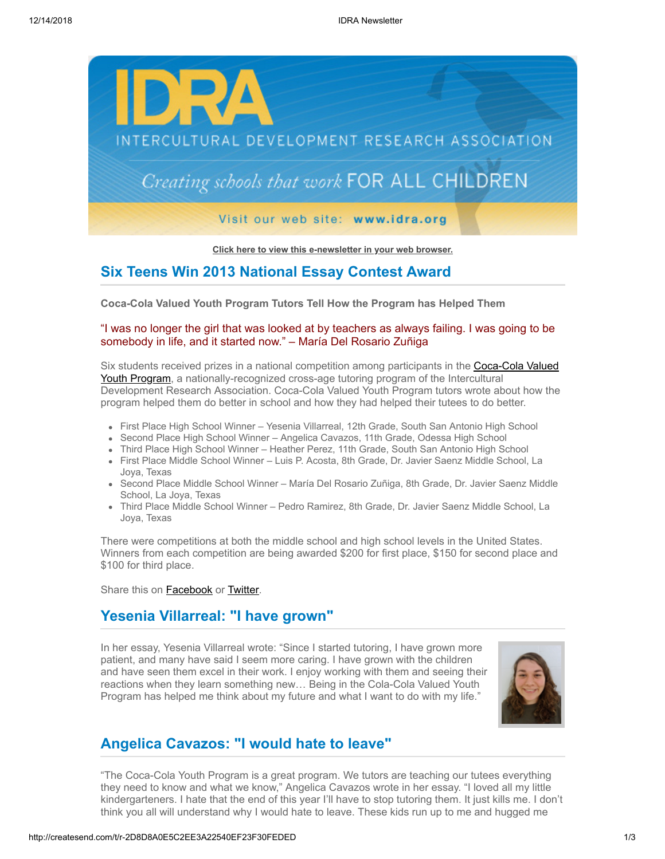

**[Click here to view this e-newsletter in your web browser.](http://newsletter.impulsedevelopment.com/t/r-e-okuhuud-l-r/)**

### **Six Teens Win 2013 National Essay Contest Award**

**Coca-Cola Valued Youth Program Tutors Tell How the Program has Helped Them**

#### "I was no longer the girl that was looked at by teachers as always failing. I was going to be somebody in life, and it started now." – María Del Rosario Zuñiga

Six students received prizes in a national competition among participants in the **Coca-Cola Valued** Youth Program, a nationally-recognized cross-age tutoring program of the Intercultural Development Research Association. Coca-Cola Valued Youth Program tutors wrote about how the program helped them do better in school and how they had helped their tutees to do better.

- First Place High School Winner Yesenia Villarreal, 12th Grade, South San Antonio High School
- Second Place High School Winner Angelica Cavazos, 11th Grade, Odessa High School
- Third Place High School Winner Heather Perez, 11th Grade, South San Antonio High School
- First Place Middle School Winner Luis P. Acosta, 8th Grade, Dr. Javier Saenz Middle School, La Joya, Texas
- Second Place Middle School Winner María Del Rosario Zuñiga, 8th Grade, Dr. Javier Saenz Middle School, La Joya, Texas
- Third Place Middle School Winner Pedro Ramirez, 8th Grade, Dr. Javier Saenz Middle School, La Joya, Texas

There were competitions at both the middle school and high school levels in the United States. Winners from each competition are being awarded \$200 for first place, \$150 for second place and \$100 for third place.

Share this on **[Facebook](http://createsend.com/t/r-fb-okuhuud-l-p/?act=wv)** or **[Twitter](http://idra.createsend1.com/t/r-tw-okuhuud-l-x/)**.

## **Yesenia Villarreal: "I have grown"**

In her essay, Yesenia Villarreal wrote: "Since I started tutoring, I have grown more patient, and many have said I seem more caring. I have grown with the children and have seen them excel in their work. I enjoy working with them and seeing their reactions when they learn something new… Being in the Cola-Cola Valued Youth Program has helped me think about my future and what I want to do with my life."



## **Angelica Cavazos: "I would hate to leave"**

"The Coca-Cola Youth Program is a great program. We tutors are teaching our tutees everything they need to know and what we know," Angelica Cavazos wrote in her essay. "I loved all my little kindergarteners. I hate that the end of this year I'll have to stop tutoring them. It just kills me. I don't think you all will understand why I would hate to leave. These kids run up to me and hugged me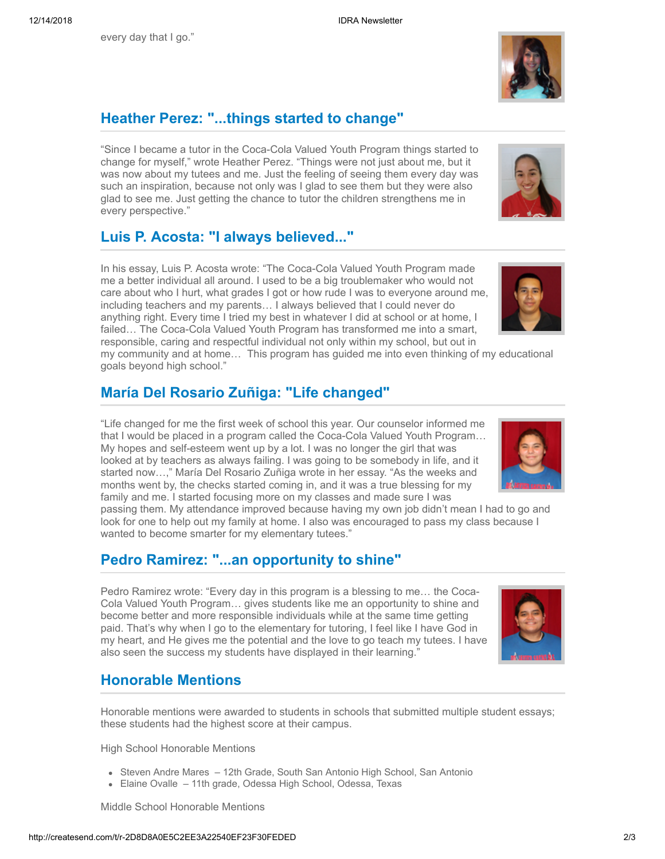every day that I go."

# **Heather Perez: "...things started to change"**

"Since I became a tutor in the Coca-Cola Valued Youth Program things started to change for myself," wrote Heather Perez. "Things were not just about me, but it was now about my tutees and me. Just the feeling of seeing them every day was such an inspiration, because not only was I glad to see them but they were also glad to see me. Just getting the chance to tutor the children strengthens me in every perspective."

## **Luis P. Acosta: "I always believed..."**

In his essay, Luis P. Acosta wrote: "The Coca-Cola Valued Youth Program made me a better individual all around. I used to be a big troublemaker who would not care about who I hurt, what grades I got or how rude I was to everyone around me, including teachers and my parents… I always believed that I could never do anything right. Every time I tried my best in whatever I did at school or at home, I failed… The Coca-Cola Valued Youth Program has transformed me into a smart, responsible, caring and respectful individual not only within my school, but out in my community and at home… This program has guided me into even thinking of my educational

## **María Del Rosario Zuñiga: "Life changed"**

"Life changed for me the first week of school this year. Our counselor informed me that I would be placed in a program called the Coca-Cola Valued Youth Program… My hopes and self-esteem went up by a lot. I was no longer the girl that was looked at by teachers as always failing. I was going to be somebody in life, and it started now…," María Del Rosario Zuñiga wrote in her essay. "As the weeks and months went by, the checks started coming in, and it was a true blessing for my family and me. I started focusing more on my classes and made sure I was

passing them. My attendance improved because having my own job didn't mean I had to go and look for one to help out my family at home. I also was encouraged to pass my class because I wanted to become smarter for my elementary tutees."

### **Pedro Ramirez: "...an opportunity to shine"**

Pedro Ramirez wrote: "Every day in this program is a blessing to me… the Coca-Cola Valued Youth Program… gives students like me an opportunity to shine and become better and more responsible individuals while at the same time getting paid. That's why when I go to the elementary for tutoring, I feel like I have God in my heart, and He gives me the potential and the love to go teach my tutees. I have also seen the success my students have displayed in their learning."

## **Honorable Mentions**

goals beyond high school."

Honorable mentions were awarded to students in schools that submitted multiple student essays; these students had the highest score at their campus.

High School Honorable Mentions

- Steven Andre Mares 12th Grade, South San Antonio High School, San Antonio
- Elaine Ovalle 11th grade, Odessa High School, Odessa, Texas

Middle School Honorable Mentions